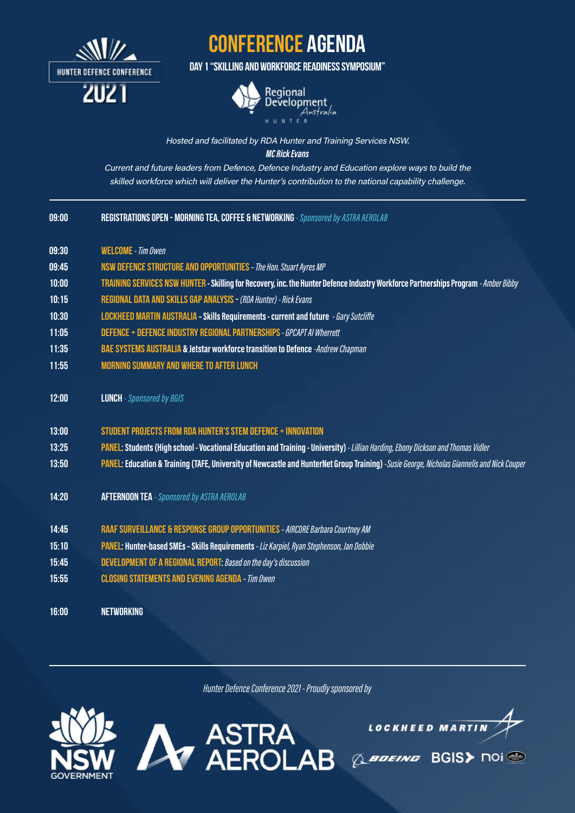

## conference agenda

Day 1 "Skilling and Workforce Readiness Symposium"



## Hosted and facilitated by RDA Hunter and Training Services NSW. MC Rick Evans

Current and future leaders from Defence, Defence Industry and Education explore ways to build the skilled workforce which will deliver the Hunter's contribution to the national capability challenge.

|  | REGISTRATIONS OPEN - MORNING TEA, COFFEE & NETWORKING - Sponsored by ASTRA AEROLAB <sub> </sub> |
|--|-------------------------------------------------------------------------------------------------|

- 09:30 WELCOME - Tim Owen
- 09:45 NSW Defence Structure and Opportunities– The Hon. Stuart Ayres MP
- 10:00 TRAINING SERVICES NSW HUNTER - Skilling for Recovery, inc. the Hunter Defence Industry Workforce Partnerships Program - Amber Bibby
- 10:15 Regional data and skills gap analysis - (RDA Hunter) - Rick Evans
- 10:30 LOCKHEED MARTIN AUSTRALIA - Skills Requirements - current and future - Gary Sutcliffe
- 11:05 DEFENCE + DEFENCE INDUSTRY REGIONAL PARTNERSHIPS - GPCAPT AI Wherrett
- 11:35 BAE SYSTEMS AUSTRALIA & Jetstar workforce transition to Defence -Andrew Chapman
- 11:55 Morning summary and where to after Lunch
- 12:00 **LUNCH** - Sponsored by BGIS
- 13:00 Student projects from RDA Hunter's STEM Defence + Innovation
- 13:25 PANEL: Students (High school - Vocational Education and Training - University) - Lillian Harding, Ebony Dickson and Thomas Vidler
- 13:50 PANEL: Education & Training (TAFE, University of Newcastle and HunterNet Group Training) -Susie George, Nicholas Giannelis and Nick Couper
- 14:20 AFTERNOON TEA - Sponsored by ASTRA AEROLAB
- 14:45 RAAF Surveillance & Response Group opportunities– AIRCDRE Barbara Courtney AM
- 15:10 PANEL: Hunter-based SMEs - Skills Requirements - Liz Karpiel, Ryan Stephenson, Jan Dobbie
- 15:45 DEVELOPMENT OF A REGIONAL REPORT: Based on the day's discussion
- 15:55 Closing statements and evening agenda – Tim Owen

16:00 **NFTWORKING** 

*Hunter Defence Conference 2021 - Proudly sponsored by*